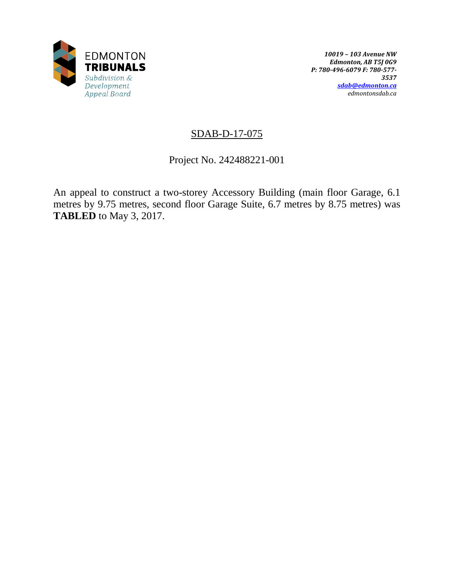

# SDAB-D-17-075

Project No. 242488221-001

An appeal to construct a two-storey Accessory Building (main floor Garage, 6.1 metres by 9.75 metres, second floor Garage Suite, 6.7 metres by 8.75 metres) was **TABLED** to May 3, 2017.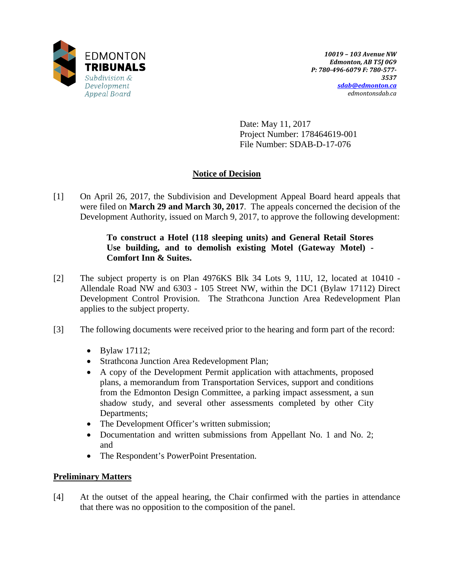

Date: May 11, 2017 Project Number: 178464619-001 File Number: SDAB-D-17-076

## **Notice of Decision**

[1] On April 26, 2017, the Subdivision and Development Appeal Board heard appeals that were filed on **March 29 and March 30, 2017**. The appeals concerned the decision of the Development Authority, issued on March 9, 2017, to approve the following development:

### **To construct a Hotel (118 sleeping units) and General Retail Stores Use building, and to demolish existing Motel (Gateway Motel) - Comfort Inn & Suites.**

- [2] The subject property is on Plan 4976KS Blk 34 Lots 9, 11U, 12, located at 10410 Allendale Road NW and 6303 - 105 Street NW, within the DC1 (Bylaw 17112) Direct Development Control Provision. The Strathcona Junction Area Redevelopment Plan applies to the subject property.
- [3] The following documents were received prior to the hearing and form part of the record:
	- Bylaw 17112;
	- Strathcona Junction Area Redevelopment Plan;
	- A copy of the Development Permit application with attachments, proposed plans, a memorandum from Transportation Services, support and conditions from the Edmonton Design Committee, a parking impact assessment, a sun shadow study, and several other assessments completed by other City Departments;
	- The Development Officer's written submission;
	- Documentation and written submissions from Appellant No. 1 and No. 2; and
	- The Respondent's PowerPoint Presentation.

## **Preliminary Matters**

[4] At the outset of the appeal hearing, the Chair confirmed with the parties in attendance that there was no opposition to the composition of the panel.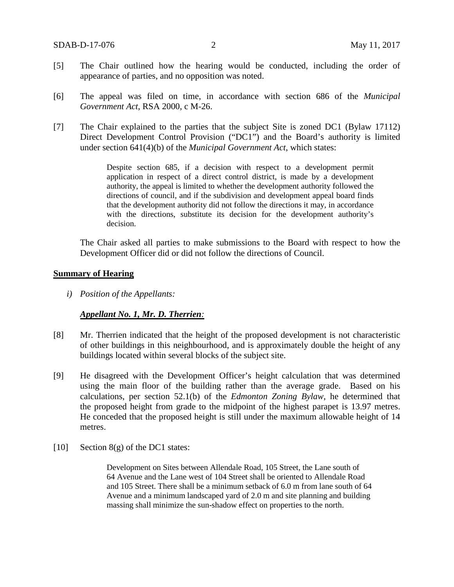- [5] The Chair outlined how the hearing would be conducted, including the order of appearance of parties, and no opposition was noted.
- [6] The appeal was filed on time, in accordance with section 686 of the *Municipal Government Act*, RSA 2000, c M-26.
- [7] The Chair explained to the parties that the subject Site is zoned DC1 (Bylaw 17112) Direct Development Control Provision ("DC1") and the Board's authority is limited under section 641(4)(b) of the *Municipal Government Act*, which states:

Despite section 685, if a decision with respect to a development permit application in respect of a direct control district, is made by a development authority, the appeal is limited to whether the development authority followed the directions of council, and if the subdivision and development appeal board finds that the development authority did not follow the directions it may, in accordance with the directions, substitute its decision for the development authority's decision.

The Chair asked all parties to make submissions to the Board with respect to how the Development Officer did or did not follow the directions of Council.

#### **Summary of Hearing**

*i) Position of the Appellants:*

#### *Appellant No. 1, Mr. D. Therrien:*

- [8] Mr. Therrien indicated that the height of the proposed development is not characteristic of other buildings in this neighbourhood, and is approximately double the height of any buildings located within several blocks of the subject site.
- [9] He disagreed with the Development Officer's height calculation that was determined using the main floor of the building rather than the average grade. Based on his calculations, per section 52.1(b) of the *Edmonton Zoning Bylaw*, he determined that the proposed height from grade to the midpoint of the highest parapet is 13.97 metres. He conceded that the proposed height is still under the maximum allowable height of 14 metres.
- [10] Section 8(g) of the DC1 states:

Development on Sites between Allendale Road, 105 Street, the Lane south of 64 Avenue and the Lane west of 104 Street shall be oriented to Allendale Road and 105 Street. There shall be a minimum setback of 6.0 m from lane south of 64 Avenue and a minimum landscaped yard of 2.0 m and site planning and building massing shall minimize the sun-shadow effect on properties to the north.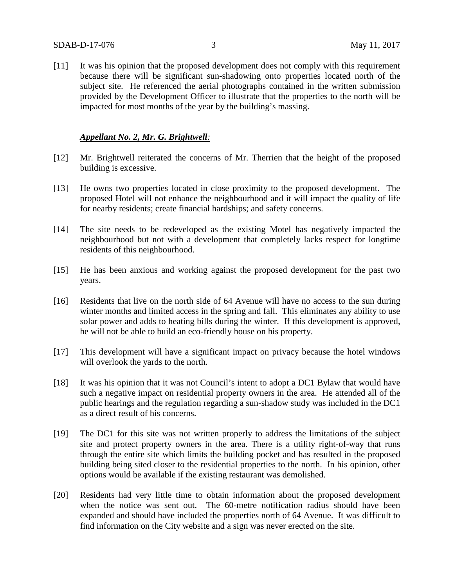[11] It was his opinion that the proposed development does not comply with this requirement because there will be significant sun-shadowing onto properties located north of the subject site. He referenced the aerial photographs contained in the written submission provided by the Development Officer to illustrate that the properties to the north will be impacted for most months of the year by the building's massing.

#### *Appellant No. 2, Mr. G. Brightwell:*

- [12] Mr. Brightwell reiterated the concerns of Mr. Therrien that the height of the proposed building is excessive.
- [13] He owns two properties located in close proximity to the proposed development. The proposed Hotel will not enhance the neighbourhood and it will impact the quality of life for nearby residents; create financial hardships; and safety concerns.
- [14] The site needs to be redeveloped as the existing Motel has negatively impacted the neighbourhood but not with a development that completely lacks respect for longtime residents of this neighbourhood.
- [15] He has been anxious and working against the proposed development for the past two years.
- [16] Residents that live on the north side of 64 Avenue will have no access to the sun during winter months and limited access in the spring and fall. This eliminates any ability to use solar power and adds to heating bills during the winter. If this development is approved, he will not be able to build an eco-friendly house on his property.
- [17] This development will have a significant impact on privacy because the hotel windows will overlook the yards to the north.
- [18] It was his opinion that it was not Council's intent to adopt a DC1 Bylaw that would have such a negative impact on residential property owners in the area. He attended all of the public hearings and the regulation regarding a sun-shadow study was included in the DC1 as a direct result of his concerns.
- [19] The DC1 for this site was not written properly to address the limitations of the subject site and protect property owners in the area. There is a utility right-of-way that runs through the entire site which limits the building pocket and has resulted in the proposed building being sited closer to the residential properties to the north. In his opinion, other options would be available if the existing restaurant was demolished.
- [20] Residents had very little time to obtain information about the proposed development when the notice was sent out. The 60-metre notification radius should have been expanded and should have included the properties north of 64 Avenue. It was difficult to find information on the City website and a sign was never erected on the site.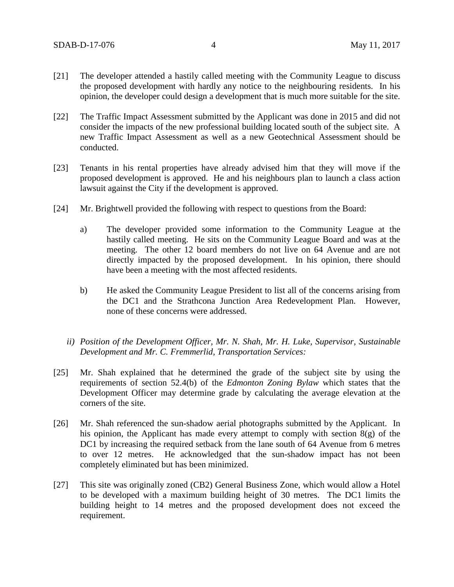- [21] The developer attended a hastily called meeting with the Community League to discuss the proposed development with hardly any notice to the neighbouring residents. In his opinion, the developer could design a development that is much more suitable for the site.
- [22] The Traffic Impact Assessment submitted by the Applicant was done in 2015 and did not consider the impacts of the new professional building located south of the subject site. A new Traffic Impact Assessment as well as a new Geotechnical Assessment should be conducted.
- [23] Tenants in his rental properties have already advised him that they will move if the proposed development is approved. He and his neighbours plan to launch a class action lawsuit against the City if the development is approved.
- [24] Mr. Brightwell provided the following with respect to questions from the Board:
	- a) The developer provided some information to the Community League at the hastily called meeting. He sits on the Community League Board and was at the meeting. The other 12 board members do not live on 64 Avenue and are not directly impacted by the proposed development. In his opinion, there should have been a meeting with the most affected residents.
	- b) He asked the Community League President to list all of the concerns arising from the DC1 and the Strathcona Junction Area Redevelopment Plan. However, none of these concerns were addressed.
	- *ii) Position of the Development Officer, Mr. N. Shah, Mr. H. Luke, Supervisor, Sustainable Development and Mr. C. Fremmerlid, Transportation Services:*
- [25] Mr. Shah explained that he determined the grade of the subject site by using the requirements of section 52.4(b) of the *Edmonton Zoning Bylaw* which states that the Development Officer may determine grade by calculating the average elevation at the corners of the site.
- [26] Mr. Shah referenced the sun-shadow aerial photographs submitted by the Applicant. In his opinion, the Applicant has made every attempt to comply with section 8(g) of the DC1 by increasing the required setback from the lane south of 64 Avenue from 6 metres to over 12 metres. He acknowledged that the sun-shadow impact has not been completely eliminated but has been minimized.
- [27] This site was originally zoned (CB2) General Business Zone, which would allow a Hotel to be developed with a maximum building height of 30 metres. The DC1 limits the building height to 14 metres and the proposed development does not exceed the requirement.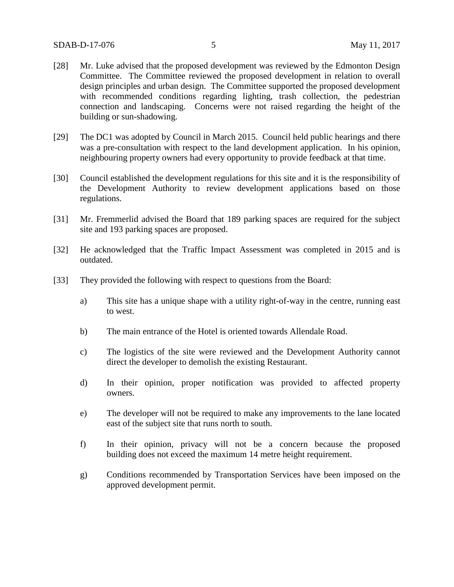- [28] Mr. Luke advised that the proposed development was reviewed by the Edmonton Design Committee. The Committee reviewed the proposed development in relation to overall design principles and urban design. The Committee supported the proposed development with recommended conditions regarding lighting, trash collection, the pedestrian connection and landscaping. Concerns were not raised regarding the height of the building or sun-shadowing.
- [29] The DC1 was adopted by Council in March 2015. Council held public hearings and there was a pre-consultation with respect to the land development application. In his opinion, neighbouring property owners had every opportunity to provide feedback at that time.
- [30] Council established the development regulations for this site and it is the responsibility of the Development Authority to review development applications based on those regulations.
- [31] Mr. Fremmerlid advised the Board that 189 parking spaces are required for the subject site and 193 parking spaces are proposed.
- [32] He acknowledged that the Traffic Impact Assessment was completed in 2015 and is outdated.
- [33] They provided the following with respect to questions from the Board:
	- a) This site has a unique shape with a utility right-of-way in the centre, running east to west.
	- b) The main entrance of the Hotel is oriented towards Allendale Road.
	- c) The logistics of the site were reviewed and the Development Authority cannot direct the developer to demolish the existing Restaurant.
	- d) In their opinion, proper notification was provided to affected property owners.
	- e) The developer will not be required to make any improvements to the lane located east of the subject site that runs north to south.
	- f) In their opinion, privacy will not be a concern because the proposed building does not exceed the maximum 14 metre height requirement.
	- g) Conditions recommended by Transportation Services have been imposed on the approved development permit.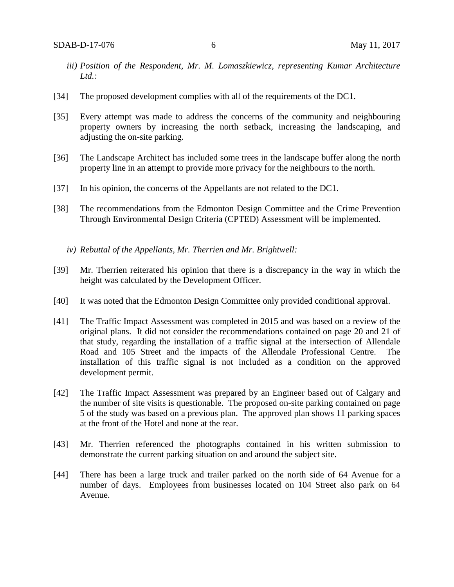- *iii) Position of the Respondent, Mr. M. Lomaszkiewicz, representing Kumar Architecture Ltd.:*
- [34] The proposed development complies with all of the requirements of the DC1.
- [35] Every attempt was made to address the concerns of the community and neighbouring property owners by increasing the north setback, increasing the landscaping, and adjusting the on-site parking.
- [36] The Landscape Architect has included some trees in the landscape buffer along the north property line in an attempt to provide more privacy for the neighbours to the north.
- [37] In his opinion, the concerns of the Appellants are not related to the DC1.
- [38] The recommendations from the Edmonton Design Committee and the Crime Prevention Through Environmental Design Criteria (CPTED) Assessment will be implemented.
	- *iv) Rebuttal of the Appellants, Mr. Therrien and Mr. Brightwell:*
- [39] Mr. Therrien reiterated his opinion that there is a discrepancy in the way in which the height was calculated by the Development Officer.
- [40] It was noted that the Edmonton Design Committee only provided conditional approval.
- [41] The Traffic Impact Assessment was completed in 2015 and was based on a review of the original plans. It did not consider the recommendations contained on page 20 and 21 of that study, regarding the installation of a traffic signal at the intersection of Allendale Road and 105 Street and the impacts of the Allendale Professional Centre. The installation of this traffic signal is not included as a condition on the approved development permit.
- [42] The Traffic Impact Assessment was prepared by an Engineer based out of Calgary and the number of site visits is questionable. The proposed on-site parking contained on page 5 of the study was based on a previous plan. The approved plan shows 11 parking spaces at the front of the Hotel and none at the rear.
- [43] Mr. Therrien referenced the photographs contained in his written submission to demonstrate the current parking situation on and around the subject site.
- [44] There has been a large truck and trailer parked on the north side of 64 Avenue for a number of days. Employees from businesses located on 104 Street also park on 64 Avenue.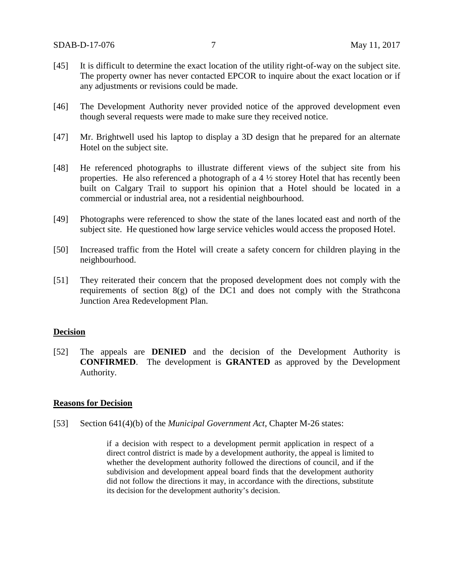- [45] It is difficult to determine the exact location of the utility right-of-way on the subject site. The property owner has never contacted EPCOR to inquire about the exact location or if any adjustments or revisions could be made.
- [46] The Development Authority never provided notice of the approved development even though several requests were made to make sure they received notice.
- [47] Mr. Brightwell used his laptop to display a 3D design that he prepared for an alternate Hotel on the subject site.
- [48] He referenced photographs to illustrate different views of the subject site from his properties. He also referenced a photograph of a 4 ½ storey Hotel that has recently been built on Calgary Trail to support his opinion that a Hotel should be located in a commercial or industrial area, not a residential neighbourhood.
- [49] Photographs were referenced to show the state of the lanes located east and north of the subject site. He questioned how large service vehicles would access the proposed Hotel.
- [50] Increased traffic from the Hotel will create a safety concern for children playing in the neighbourhood.
- [51] They reiterated their concern that the proposed development does not comply with the requirements of section  $8(g)$  of the DC1 and does not comply with the Strathcona Junction Area Redevelopment Plan.

#### **Decision**

[52] The appeals are **DENIED** and the decision of the Development Authority is **CONFIRMED**. The development is **GRANTED** as approved by the Development Authority.

#### **Reasons for Decision**

[53] Section 641(4)(b) of the *Municipal Government Act*, Chapter M-26 states:

if a decision with respect to a development permit application in respect of a direct control district is made by a development authority, the appeal is limited to whether the development authority followed the directions of council, and if the subdivision and development appeal board finds that the development authority did not follow the directions it may, in accordance with the directions, substitute its decision for the development authority's decision.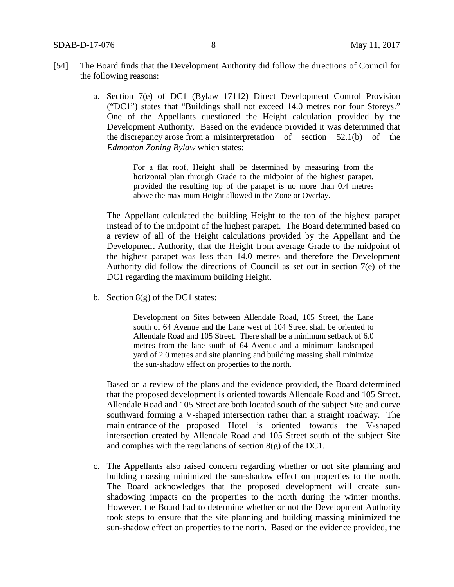- [54] The Board finds that the Development Authority did follow the directions of Council for the following reasons:
	- a. Section 7(e) of DC1 (Bylaw 17112) Direct Development Control Provision ("DC1") states that "Buildings shall not exceed 14.0 metres nor four Storeys." One of the Appellants questioned the Height calculation provided by the Development Authority. Based on the evidence provided it was determined that the discrepancy arose from a misinterpretation of section 52.1(b) of the *Edmonton Zoning Bylaw* which states:

For a flat roof, Height shall be determined by measuring from the horizontal plan through Grade to the midpoint of the highest parapet, provided the resulting top of the parapet is no more than 0.4 metres above the maximum Height allowed in the Zone or Overlay.

The Appellant calculated the building Height to the top of the highest parapet instead of to the midpoint of the highest parapet. The Board determined based on a review of all of the Height calculations provided by the Appellant and the Development Authority, that the Height from average Grade to the midpoint of the highest parapet was less than 14.0 metres and therefore the Development Authority did follow the directions of Council as set out in section 7(e) of the DC1 regarding the maximum building Height.

b. Section  $8(g)$  of the DC1 states:

Development on Sites between Allendale Road, 105 Street, the Lane south of 64 Avenue and the Lane west of 104 Street shall be oriented to Allendale Road and 105 Street. There shall be a minimum setback of 6.0 metres from the lane south of 64 Avenue and a minimum landscaped yard of 2.0 metres and site planning and building massing shall minimize the sun-shadow effect on properties to the north.

Based on a review of the plans and the evidence provided, the Board determined that the proposed development is oriented towards Allendale Road and 105 Street. Allendale Road and 105 Street are both located south of the subject Site and curve southward forming a V-shaped intersection rather than a straight roadway. The main entrance of the proposed Hotel is oriented towards the V-shaped intersection created by Allendale Road and 105 Street south of the subject Site and complies with the regulations of section  $8(g)$  of the DC1.

c. The Appellants also raised concern regarding whether or not site planning and building massing minimized the sun-shadow effect on properties to the north. The Board acknowledges that the proposed development will create sunshadowing impacts on the properties to the north during the winter months. However, the Board had to determine whether or not the Development Authority took steps to ensure that the site planning and building massing minimized the sun-shadow effect on properties to the north. Based on the evidence provided, the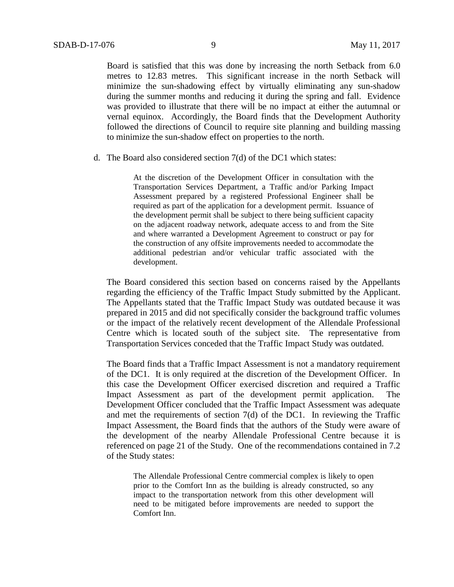Board is satisfied that this was done by increasing the north Setback from 6.0 metres to 12.83 metres. This significant increase in the north Setback will minimize the sun-shadowing effect by virtually eliminating any sun-shadow during the summer months and reducing it during the spring and fall. Evidence was provided to illustrate that there will be no impact at either the autumnal or vernal equinox. Accordingly, the Board finds that the Development Authority followed the directions of Council to require site planning and building massing to minimize the sun-shadow effect on properties to the north.

d. The Board also considered section 7(d) of the DC1 which states:

At the discretion of the Development Officer in consultation with the Transportation Services Department, a Traffic and/or Parking Impact Assessment prepared by a registered Professional Engineer shall be required as part of the application for a development permit. Issuance of the development permit shall be subject to there being sufficient capacity on the adjacent roadway network, adequate access to and from the Site and where warranted a Development Agreement to construct or pay for the construction of any offsite improvements needed to accommodate the additional pedestrian and/or vehicular traffic associated with the development.

The Board considered this section based on concerns raised by the Appellants regarding the efficiency of the Traffic Impact Study submitted by the Applicant. The Appellants stated that the Traffic Impact Study was outdated because it was prepared in 2015 and did not specifically consider the background traffic volumes or the impact of the relatively recent development of the Allendale Professional Centre which is located south of the subject site. The representative from Transportation Services conceded that the Traffic Impact Study was outdated.

The Board finds that a Traffic Impact Assessment is not a mandatory requirement of the DC1. It is only required at the discretion of the Development Officer. In this case the Development Officer exercised discretion and required a Traffic Impact Assessment as part of the development permit application. The Development Officer concluded that the Traffic Impact Assessment was adequate and met the requirements of section 7(d) of the DC1. In reviewing the Traffic Impact Assessment, the Board finds that the authors of the Study were aware of the development of the nearby Allendale Professional Centre because it is referenced on page 21 of the Study. One of the recommendations contained in 7.2 of the Study states:

The Allendale Professional Centre commercial complex is likely to open prior to the Comfort Inn as the building is already constructed, so any impact to the transportation network from this other development will need to be mitigated before improvements are needed to support the Comfort Inn.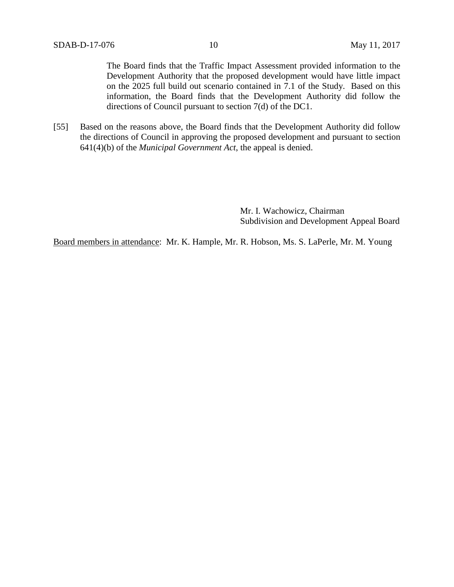The Board finds that the Traffic Impact Assessment provided information to the Development Authority that the proposed development would have little impact on the 2025 full build out scenario contained in 7.1 of the Study. Based on this information, the Board finds that the Development Authority did follow the directions of Council pursuant to section 7(d) of the DC1.

[55] Based on the reasons above, the Board finds that the Development Authority did follow the directions of Council in approving the proposed development and pursuant to section 641(4)(b) of the *Municipal Government Act*, the appeal is denied.

> Mr. I. Wachowicz, Chairman Subdivision and Development Appeal Board

Board members in attendance: Mr. K. Hample, Mr. R. Hobson, Ms. S. LaPerle, Mr. M. Young